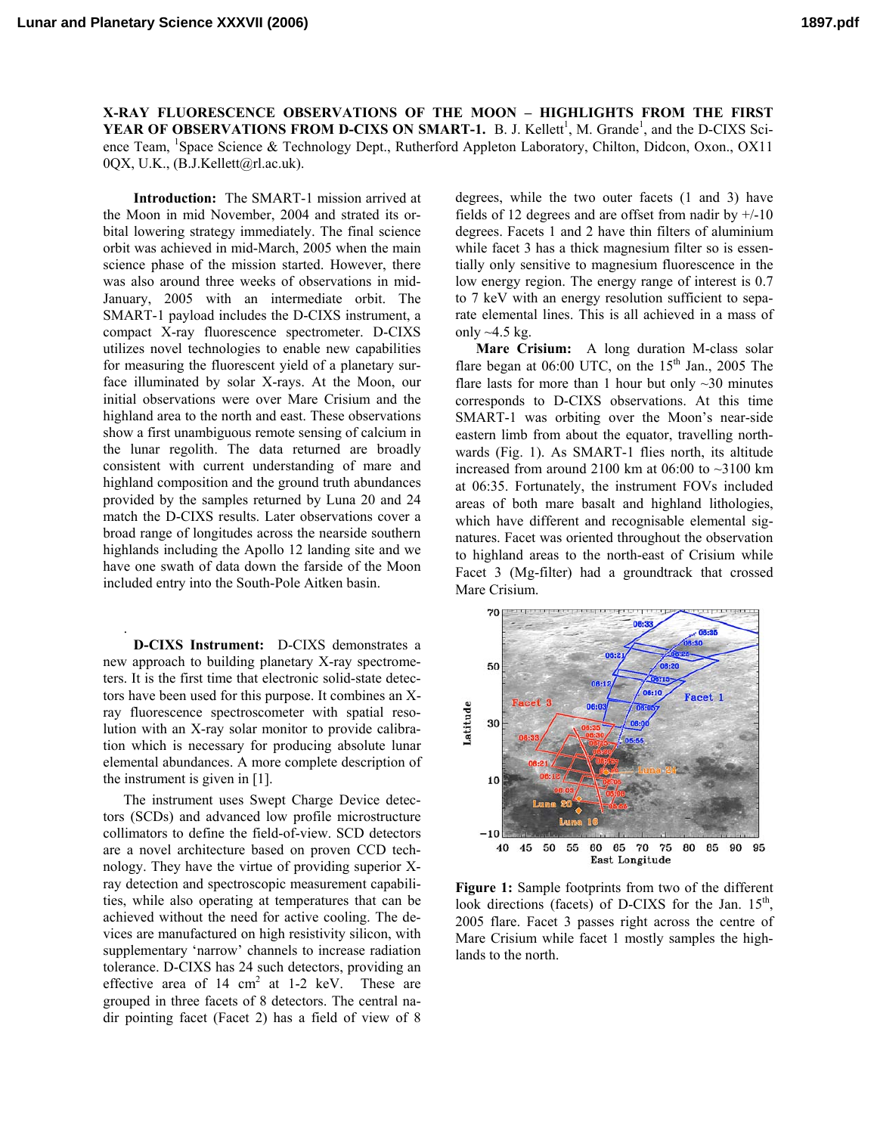**X-RAY FLUORESCENCE OBSERVATIONS OF THE MOON – HIGHLIGHTS FROM THE FIRST YEAR OF OBSERVATIONS FROM D-CIXS ON SMART-1.** B. J. Kellett<sup>1</sup>, M. Grande<sup>1</sup>, and the D-CIXS Science Team, <sup>1</sup>Space Science & Technology Dept., Rutherford Appleton Laboratory, Chilton, Didcon, Oxon., OX11 0QX, U.K., (B.J.Kellett@rl.ac.uk).

**Introduction:** The SMART-1 mission arrived at the Moon in mid November, 2004 and strated its orbital lowering strategy immediately. The final science orbit was achieved in mid-March, 2005 when the main science phase of the mission started. However, there was also around three weeks of observations in mid-January, 2005 with an intermediate orbit. The SMART-1 payload includes the D-CIXS instrument, a compact X-ray fluorescence spectrometer. D-CIXS utilizes novel technologies to enable new capabilities for measuring the fluorescent yield of a planetary surface illuminated by solar X-rays. At the Moon, our initial observations were over Mare Crisium and the highland area to the north and east. These observations show a first unambiguous remote sensing of calcium in the lunar regolith. The data returned are broadly consistent with current understanding of mare and highland composition and the ground truth abundances provided by the samples returned by Luna 20 and 24 match the D-CIXS results. Later observations cover a broad range of longitudes across the nearside southern highlands including the Apollo 12 landing site and we have one swath of data down the farside of the Moon included entry into the South-Pole Aitken basin.

**D-CIXS Instrument:** D-CIXS demonstrates a new approach to building planetary X-ray spectrometers. It is the first time that electronic solid-state detectors have been used for this purpose. It combines an Xray fluorescence spectroscometer with spatial resolution with an X-ray solar monitor to provide calibration which is necessary for producing absolute lunar ele mental abundances. A more complete description of the instrument is given in [1].

.

The instrument uses Swept Charge Device detectors (SCDs) and advanced low profile microstructure collimators to define the field-of-view. SCD detectors are a novel architecture based on proven CCD technology. They have the virtue of providing superior Xray detection and spectroscopic measurement capabilities, while also operating at temperatures that can be achieved without the need for active cooling. The devices are manufactured on high resistivity silicon, with supplementary 'narrow' channels to increase radiation tolerance. D-CIXS has 24 such detectors, providing an effective area of  $14 \text{ cm}^2$  at  $1-2 \text{ keV}$ . These are grouped in three facets of 8 detectors. The central nadir pointing facet (Facet 2) has a field of view of 8

to 7 keV with an energy resolution sufficient to separate elemental lines. This is all achieved in a mass of degrees, while the two outer facets (1 and 3) have fields of 12 degrees and are offset from nadir by  $+/10$ degrees. Facets 1 and 2 have thin filters of aluminium while facet 3 has a thick magnesium filter so is essentially only sensitive to magnesium fluorescence in the low energy region. The energy range of interest is 0.7 only  $\sim$ 4.5 kg.

to highland areas to the north-east of Crisium while **Mare Crisium:** A long duration M-class solar flare began at  $06:00$  UTC, on the  $15<sup>th</sup>$  Jan., 2005 The flare lasts for more than 1 hour but only  $\sim$  30 minutes corresponds to D-CIXS observations. At this time SMART-1 was orbiting over the Moon's near-side eastern limb from about the equator, travelling northwards (Fig. 1). As SMART-1 flies north, its altitude increased from around 2100 km at  $06:00$  to  $\sim$ 3100 km at 06:35. Fortunately, the instrument FOVs included areas of both mare basalt and highland lithologies, which have different and recognisable elemental signatures. Facet was oriented throughout the observation Facet 3 (Mg-filter) had a groundtrack that crossed Mare Crisium.



**Figure 1:** Sample footprints from two of the different look directions (facets) of D-CIXS for the Jan.  $15<sup>th</sup>$ , 2005 flare. Facet 3 passes right across the centre of Mare Crisium while facet 1 mostly samples the highlands to the north.